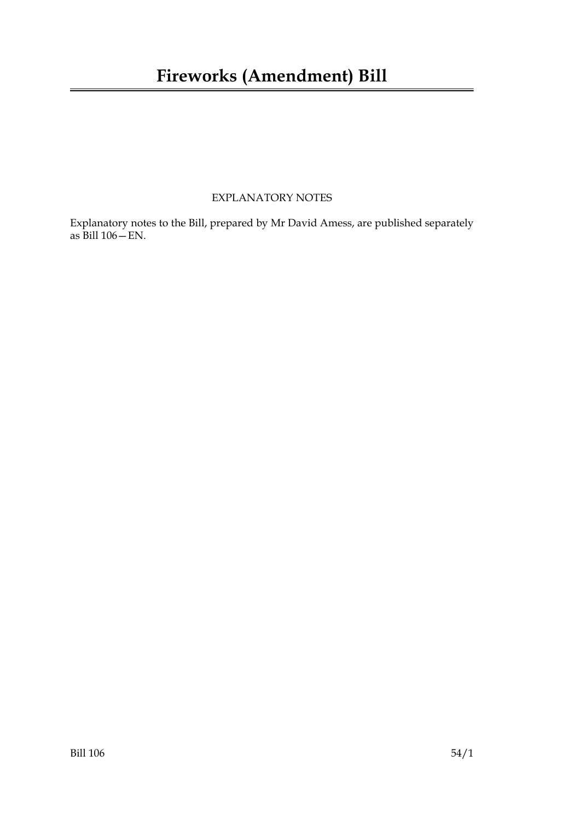#### EXPLANATORY NOTES

Explanatory notes to the Bill, prepared by Mr David Amess, are published separately as Bill 106—EN.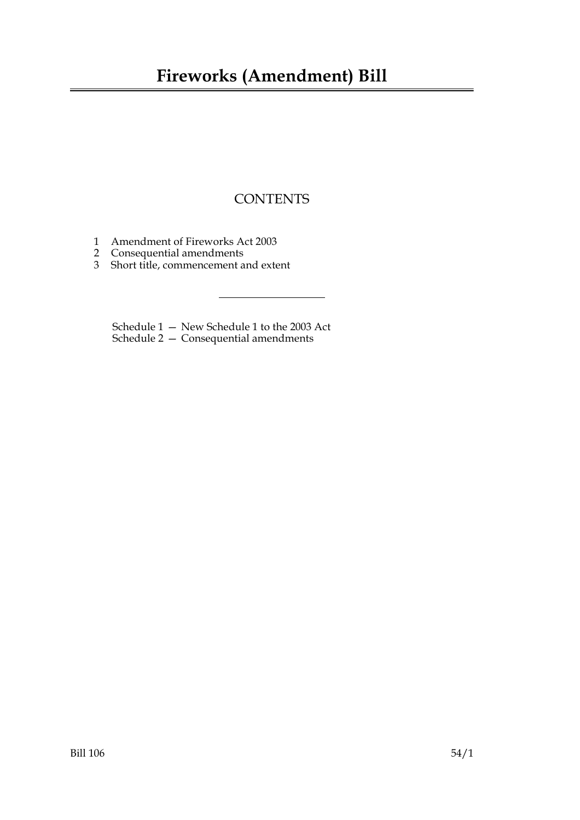## **Fireworks (Amendment) Bill**

#### **CONTENTS**

- 1 Amendment of Fireworks Act 2003
- 2 Consequential amendments
- 3 Short title, commencement and extent

Schedule 1 — New Schedule 1 to the 2003 Act Schedule 2 — Consequential amendments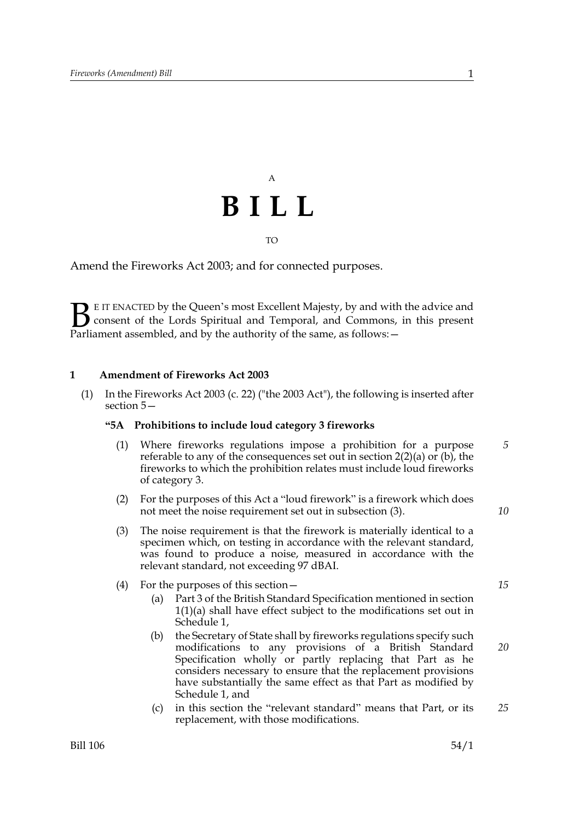# A **BILL**

#### TO

Amend the Fireworks Act 2003; and for connected purposes.

E IT ENACTED by the Queen's most Excellent Majesty, by and with the advice and consent of the Lords Spiritual and Temporal, and Commons, in this present **B** E IT ENACTED by the Queen's most Excellent Majesty, by and with consent of the Lords Spiritual and Temporal, and Commons, Parliament assembled, and by the authority of the same, as follows:  $-$ 

#### **1 Amendment of Fireworks Act 2003**

(1) In the Fireworks Act 2003 (c. 22) ("the 2003 Act"), the following is inserted after section 5—

#### **"5A Prohibitions to include loud category 3 fireworks**

- (1) Where fireworks regulations impose a prohibition for a purpose referable to any of the consequences set out in section 2(2)(a) or (b), the fireworks to which the prohibition relates must include loud fireworks of category 3. *5*
- (2) For the purposes of this Act a "loud firework" is a firework which does not meet the noise requirement set out in subsection (3).
- (3) The noise requirement is that the firework is materially identical to a specimen which, on testing in accordance with the relevant standard, was found to produce a noise, measured in accordance with the relevant standard, not exceeding 97 dBAI.

#### (4) For the purposes of this section—

- (a) Part 3 of the British Standard Specification mentioned in section 1(1)(a) shall have effect subject to the modifications set out in Schedule 1,
- (b) the Secretary of State shall by fireworks regulations specify such modifications to any provisions of a British Standard Specification wholly or partly replacing that Part as he considers necessary to ensure that the replacement provisions have substantially the same effect as that Part as modified by Schedule 1, and
- (c) in this section the "relevant standard" means that Part, or its replacement, with those modifications. *25*

*15*

*20*

*10*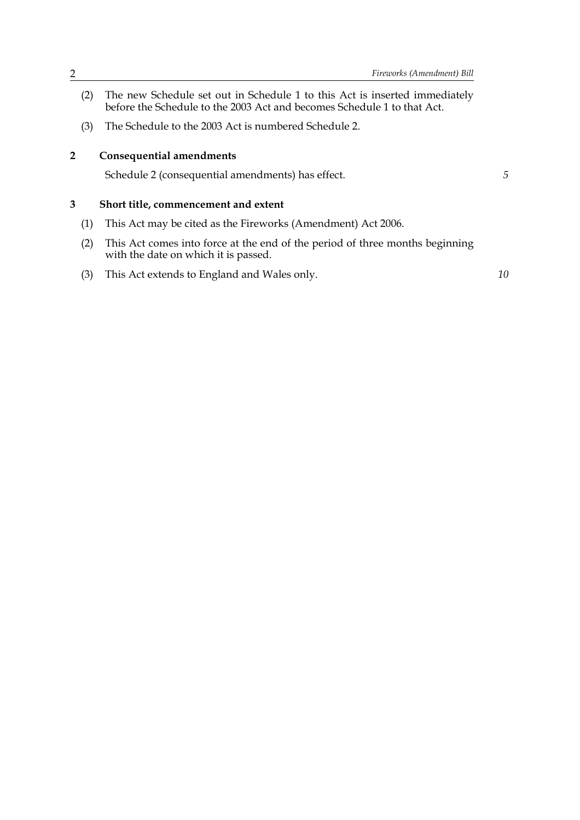- (2) The new Schedule set out in Schedule 1 to this Act is inserted immediately before the Schedule to the 2003 Act and becomes Schedule 1 to that Act.
- (3) The Schedule to the 2003 Act is numbered Schedule 2.

#### **2 Consequential amendments**

Schedule 2 (consequential amendments) has effect.

*5*

#### **3 Short title, commencement and extent**

- (1) This Act may be cited as the Fireworks (Amendment) Act 2006.
- (2) This Act comes into force at the end of the period of three months beginning with the date on which it is passed.
- (3) This Act extends to England and Wales only.

*10*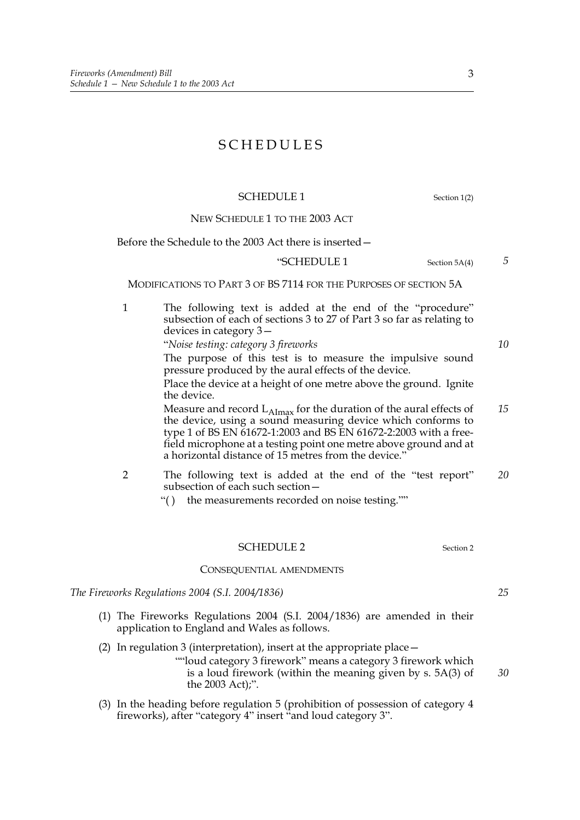#### SCHEDULES

#### SCHEDULE 1 Section 1(2)

NEW SCHEDULE 1 TO THE 2003 ACT

Before the Schedule to the 2003 Act there is inserted—

#### "SCHEDULE 1 Section 5A(4)

MODIFICATIONS TO PART 3 OF BS 7114 FOR THE PURPOSES OF SECTION 5A

1 The following text is added at the end of the "procedure" subsection of each of sections 3 to 27 of Part 3 so far as relating to devices in category 3—

"*Noise testing: category 3 fireworks*

The purpose of this test is to measure the impulsive sound pressure produced by the aural effects of the device.

Place the device at a height of one metre above the ground. Ignite the device.

Measure and record  $L_{\text{Almax}}$  for the duration of the aural effects of the device, using a sound measuring device which conforms to type 1 of BS EN 61672-1:2003 and BS EN 61672-2:2003 with a freefield microphone at a testing point one metre above ground and at a horizontal distance of 15 metres from the device." *15*

- 2 The following text is added at the end of the "test report" subsection of each such section— *20*
	- "( ) the measurements recorded on noise testing.""

#### SCHEDULE 2 Section 2

#### CONSEQUENTIAL AMENDMENTS

*The Fireworks Regulations 2004 (S.I. 2004/1836)*

- (1) The Fireworks Regulations 2004 (S.I. 2004/1836) are amended in their application to England and Wales as follows.
- (2) In regulation 3 (interpretation), insert at the appropriate place—
	- ""loud category 3 firework" means a category 3 firework which is a loud firework (within the meaning given by s. 5A(3) of the 2003 Act);".
- (3) In the heading before regulation 5 (prohibition of possession of category 4 fireworks), after "category 4" insert "and loud category 3".

3

*25*

*30*

*5*

*10*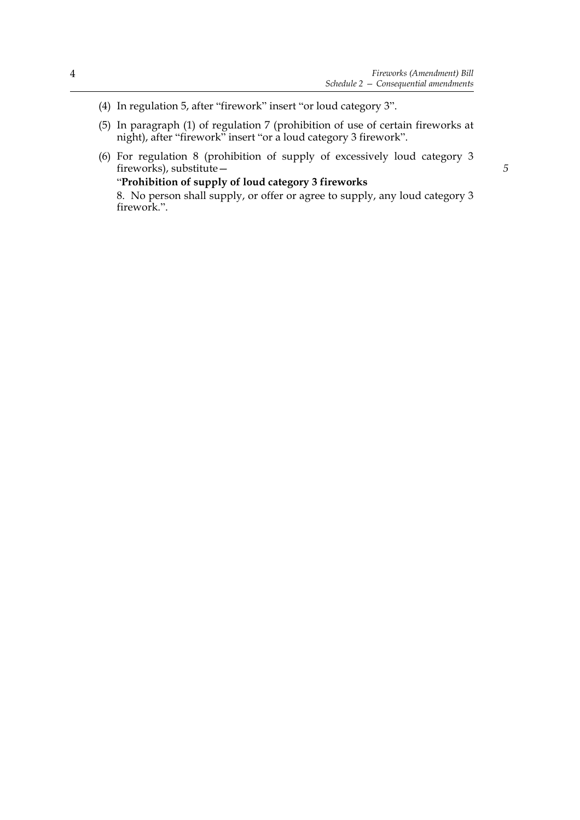- (4) In regulation 5, after "firework" insert "or loud category 3".
- (5) In paragraph (1) of regulation 7 (prohibition of use of certain fireworks at night), after "firework" insert "or a loud category 3 firework".
- (6) For regulation 8 (prohibition of supply of excessively loud category 3 fireworks), substitute—

#### "**Prohibition of supply of loud category 3 fireworks**

8. No person shall supply, or offer or agree to supply, any loud category 3 firework.".